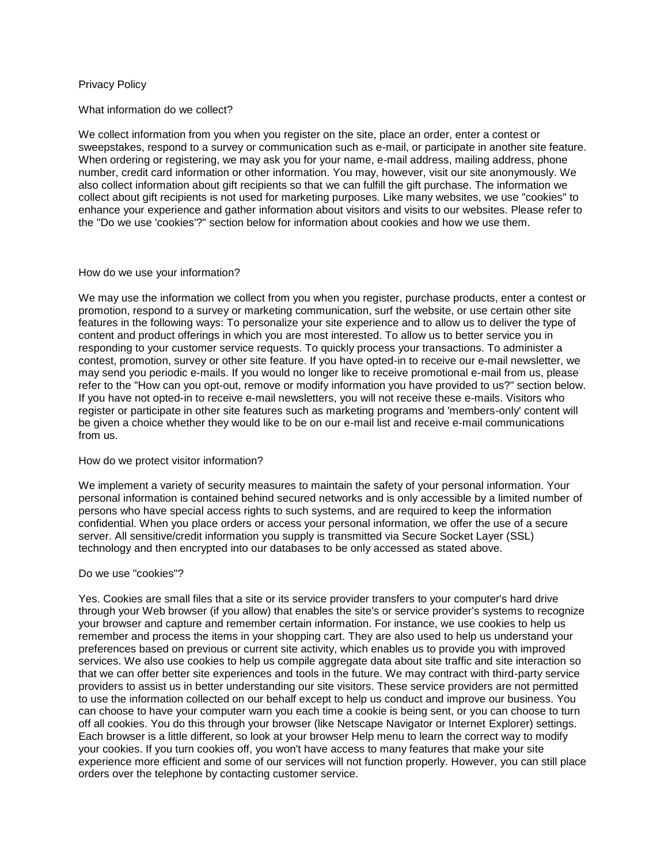# Privacy Policy

#### What information do we collect?

We collect information from you when you register on the site, place an order, enter a contest or sweepstakes, respond to a survey or communication such as e-mail, or participate in another site feature. When ordering or registering, we may ask you for your name, e-mail address, mailing address, phone number, credit card information or other information. You may, however, visit our site anonymously. We also collect information about gift recipients so that we can fulfill the gift purchase. The information we collect about gift recipients is not used for marketing purposes. Like many websites, we use "cookies" to enhance your experience and gather information about visitors and visits to our websites. Please refer to the "Do we use 'cookies'?" section below for information about cookies and how we use them.

#### How do we use your information?

We may use the information we collect from you when you register, purchase products, enter a contest or promotion, respond to a survey or marketing communication, surf the website, or use certain other site features in the following ways: To personalize your site experience and to allow us to deliver the type of content and product offerings in which you are most interested. To allow us to better service you in responding to your customer service requests. To quickly process your transactions. To administer a contest, promotion, survey or other site feature. If you have opted-in to receive our e-mail newsletter, we may send you periodic e-mails. If you would no longer like to receive promotional e-mail from us, please refer to the "How can you opt-out, remove or modify information you have provided to us?" section below. If you have not opted-in to receive e-mail newsletters, you will not receive these e-mails. Visitors who register or participate in other site features such as marketing programs and 'members-only' content will be given a choice whether they would like to be on our e-mail list and receive e-mail communications from us.

#### How do we protect visitor information?

We implement a variety of security measures to maintain the safety of your personal information. Your personal information is contained behind secured networks and is only accessible by a limited number of persons who have special access rights to such systems, and are required to keep the information confidential. When you place orders or access your personal information, we offer the use of a secure server. All sensitive/credit information you supply is transmitted via Secure Socket Layer (SSL) technology and then encrypted into our databases to be only accessed as stated above.

#### Do we use "cookies"?

Yes. Cookies are small files that a site or its service provider transfers to your computer's hard drive through your Web browser (if you allow) that enables the site's or service provider's systems to recognize your browser and capture and remember certain information. For instance, we use cookies to help us remember and process the items in your shopping cart. They are also used to help us understand your preferences based on previous or current site activity, which enables us to provide you with improved services. We also use cookies to help us compile aggregate data about site traffic and site interaction so that we can offer better site experiences and tools in the future. We may contract with third-party service providers to assist us in better understanding our site visitors. These service providers are not permitted to use the information collected on our behalf except to help us conduct and improve our business. You can choose to have your computer warn you each time a cookie is being sent, or you can choose to turn off all cookies. You do this through your browser (like Netscape Navigator or Internet Explorer) settings. Each browser is a little different, so look at your browser Help menu to learn the correct way to modify your cookies. If you turn cookies off, you won't have access to many features that make your site experience more efficient and some of our services will not function properly. However, you can still place orders over the telephone by contacting customer service.